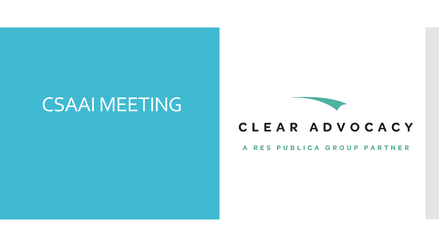## CSAAI MEETING



### CLEAR ADVOCACY

### A RES PUBLICA GROUP PARTNER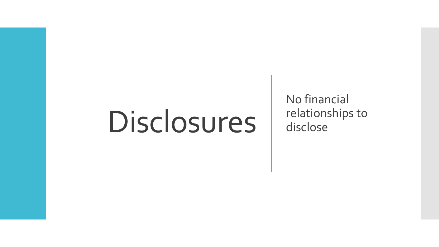# Disclosures

No financial relationships to disclose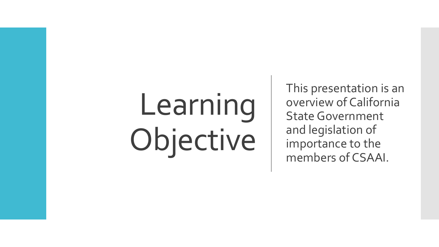# Learning Objective

This presentation is an overview of California State Government and legislation of importance to the members of CSAAI.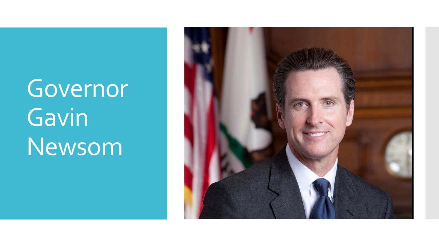## Governor Gavin Newsom

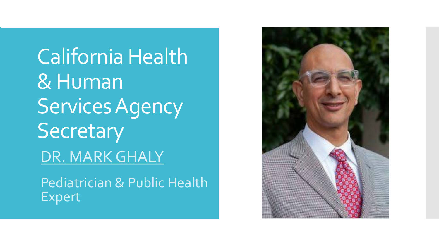California Health & Human Services Agency **Secretary** DR. MARK GHALY

Pediatrician & Public Health Expert

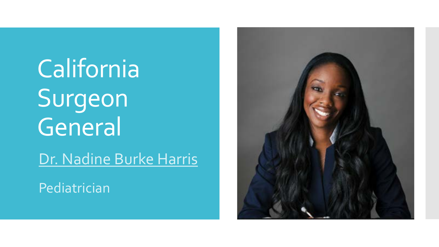California Surgeon General Dr. Nadine Burke Harris

Pediatrician

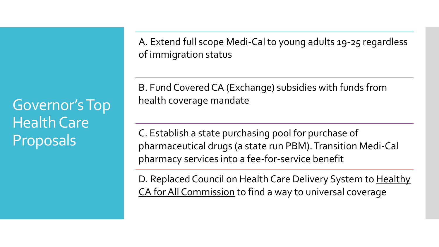Governor's Top Health Care Proposals

A. Extend full scope Medi-Cal to young adults 19-25 regardless of immigration status

B. Fund Covered CA (Exchange) subsidies with funds from health coverage mandate

C. Establish a state purchasing pool for purchase of pharmaceutical drugs (a state run PBM). Transition Medi-Cal pharmacy services into a fee-for-service benefit

D. Replaced Council on Health Care Delivery System to Healthy CA for All Commission to find a way to universal coverage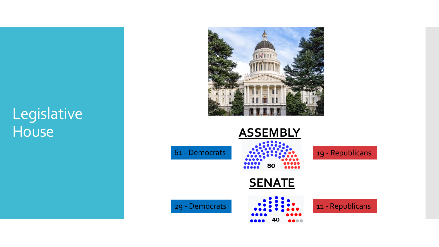### Legislative House **ASSEMBLY**



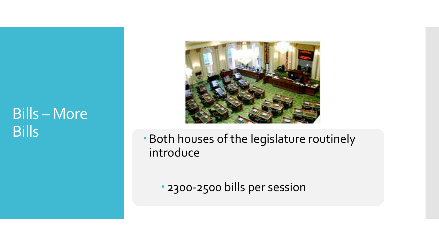### Bills – More Bills



 Both houses of the legislature routinely introduce

2300-2500 bills per session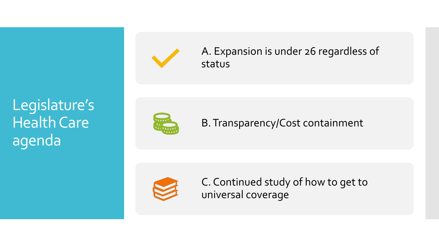Legislature's Health Care agenda



A. Expansion is under 26 regardless of status



B. Transparency/Cost containment



C. Continued study of how to get to universal coverage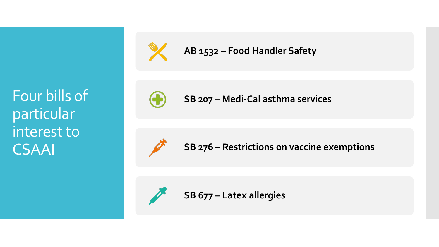Four bills of particular interest to CSAAI



**AB 1532 – Food Handler Safety**



**SB 207 – Medi-Cal asthma services**



**SB 276 – Restrictions on vaccine exemptions**



**SB 677 – Latex allergies**